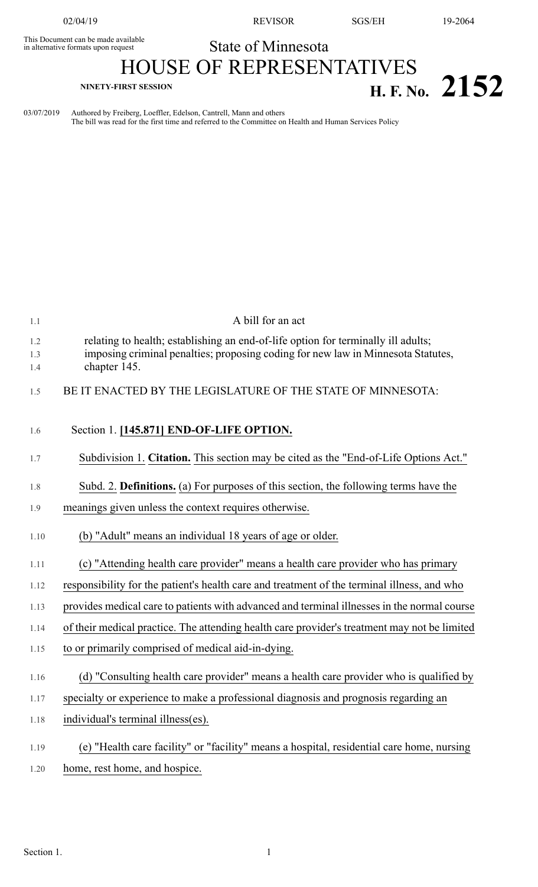This Document can be made available<br>in alternative formats upon request

02/04/19 REVISOR SGS/EH 19-2064

## State of Minnesota

## HOUSE OF REPRESENTATIVES **NINETY-FIRST SESSION H. F. No. 2152**

03/07/2019 Authored by Freiberg, Loeffler, Edelson, Cantrell, Mann and others The bill was read for the first time and referred to the Committee on Health and Human Services Policy

| 1.1        | A bill for an act                                                                                |
|------------|--------------------------------------------------------------------------------------------------|
| 1.2        | relating to health; establishing an end-of-life option for terminally ill adults;                |
| 1.3<br>1.4 | imposing criminal penalties; proposing coding for new law in Minnesota Statutes,<br>chapter 145. |
| 1.5        | BE IT ENACTED BY THE LEGISLATURE OF THE STATE OF MINNESOTA:                                      |
| 1.6        | Section 1. [145.871] END-OF-LIFE OPTION.                                                         |
| 1.7        | Subdivision 1. Citation. This section may be cited as the "End-of-Life Options Act."             |
| 1.8        | Subd. 2. Definitions. (a) For purposes of this section, the following terms have the             |
| 1.9        | meanings given unless the context requires otherwise.                                            |
| 1.10       | (b) "Adult" means an individual 18 years of age or older.                                        |
| 1.11       | (c) "Attending health care provider" means a health care provider who has primary                |
| 1.12       | responsibility for the patient's health care and treatment of the terminal illness, and who      |
| 1.13       | provides medical care to patients with advanced and terminal illnesses in the normal course      |
| 1.14       | of their medical practice. The attending health care provider's treatment may not be limited     |
| 1.15       | to or primarily comprised of medical aid-in-dying.                                               |
| 1.16       | (d) "Consulting health care provider" means a health care provider who is qualified by           |
| 1.17       | specialty or experience to make a professional diagnosis and prognosis regarding an              |
| 1.18       | individual's terminal illness(es).                                                               |
| 1.19       | (e) "Health care facility" or "facility" means a hospital, residential care home, nursing        |
| 1.20       | home, rest home, and hospice.                                                                    |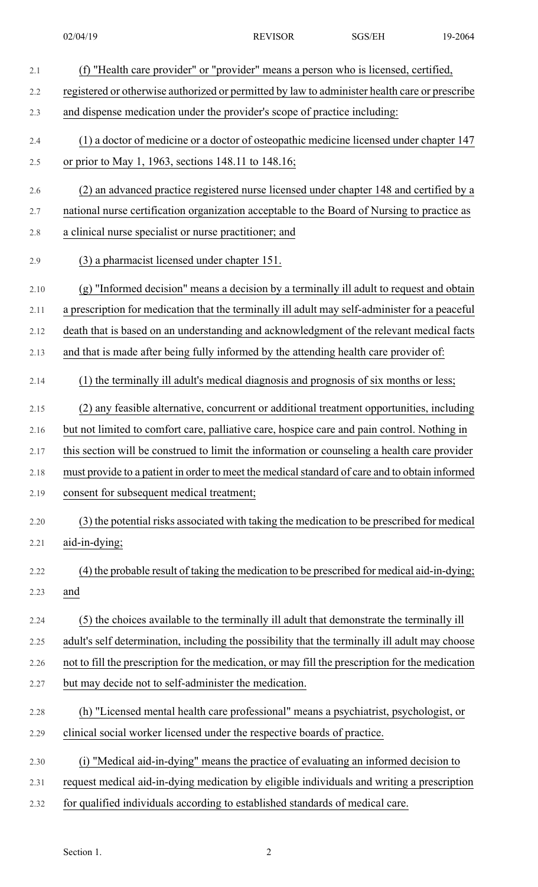| 2.1     | (f) "Health care provider" or "provider" means a person who is licensed, certified,              |
|---------|--------------------------------------------------------------------------------------------------|
| 2.2     | registered or otherwise authorized or permitted by law to administer health care or prescribe    |
| 2.3     | and dispense medication under the provider's scope of practice including:                        |
| 2.4     | (1) a doctor of medicine or a doctor of osteopathic medicine licensed under chapter 147          |
| 2.5     | or prior to May 1, 1963, sections 148.11 to 148.16;                                              |
| 2.6     | (2) an advanced practice registered nurse licensed under chapter 148 and certified by a          |
| 2.7     | national nurse certification organization acceptable to the Board of Nursing to practice as      |
| $2.8\,$ | a clinical nurse specialist or nurse practitioner; and                                           |
| 2.9     | (3) a pharmacist licensed under chapter 151.                                                     |
| 2.10    | (g) "Informed decision" means a decision by a terminally ill adult to request and obtain         |
| 2.11    | a prescription for medication that the terminally ill adult may self-administer for a peaceful   |
| 2.12    | death that is based on an understanding and acknowledgment of the relevant medical facts         |
| 2.13    | and that is made after being fully informed by the attending health care provider of:            |
| 2.14    | (1) the terminally ill adult's medical diagnosis and prognosis of six months or less;            |
| 2.15    | (2) any feasible alternative, concurrent or additional treatment opportunities, including        |
| 2.16    | but not limited to comfort care, palliative care, hospice care and pain control. Nothing in      |
| 2.17    | this section will be construed to limit the information or counseling a health care provider     |
| 2.18    | must provide to a patient in order to meet the medical standard of care and to obtain informed   |
| 2.19    | consent for subsequent medical treatment;                                                        |
| 2.20    | (3) the potential risks associated with taking the medication to be prescribed for medical       |
| 2.21    | aid-in-dying;                                                                                    |
| 2.22    | (4) the probable result of taking the medication to be prescribed for medical aid-in-dying;      |
| 2.23    | and                                                                                              |
| 2.24    | (5) the choices available to the terminally ill adult that demonstrate the terminally ill        |
| 2.25    | adult's self determination, including the possibility that the terminally ill adult may choose   |
| 2.26    | not to fill the prescription for the medication, or may fill the prescription for the medication |
| 2.27    | but may decide not to self-administer the medication.                                            |
| 2.28    | (h) "Licensed mental health care professional" means a psychiatrist, psychologist, or            |
| 2.29    | clinical social worker licensed under the respective boards of practice.                         |
| 2.30    | (i) "Medical aid-in-dying" means the practice of evaluating an informed decision to              |
| 2.31    | request medical aid-in-dying medication by eligible individuals and writing a prescription       |
| 2.32    | for qualified individuals according to established standards of medical care.                    |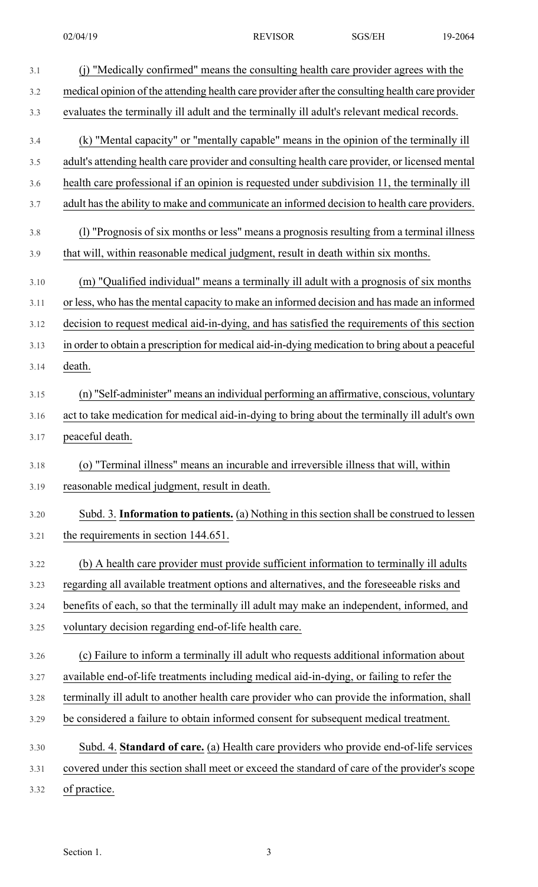| 3.1  | (j) "Medically confirmed" means the consulting health care provider agrees with the             |
|------|-------------------------------------------------------------------------------------------------|
| 3.2  | medical opinion of the attending health care provider after the consulting health care provider |
| 3.3  | evaluates the terminally ill adult and the terminally ill adult's relevant medical records.     |
| 3.4  | (k) "Mental capacity" or "mentally capable" means in the opinion of the terminally ill          |
| 3.5  | adult's attending health care provider and consulting health care provider, or licensed mental  |
| 3.6  | health care professional if an opinion is requested under subdivision 11, the terminally ill    |
| 3.7  | adult has the ability to make and communicate an informed decision to health care providers.    |
| 3.8  | (1) "Prognosis of six months or less" means a prognosis resulting from a terminal illness       |
| 3.9  | that will, within reasonable medical judgment, result in death within six months.               |
| 3.10 | (m) "Qualified individual" means a terminally ill adult with a prognosis of six months          |
| 3.11 | or less, who has the mental capacity to make an informed decision and has made an informed      |
| 3.12 | decision to request medical aid-in-dying, and has satisfied the requirements of this section    |
| 3.13 | in order to obtain a prescription for medical aid-in-dying medication to bring about a peaceful |
| 3.14 | death.                                                                                          |
| 3.15 | (n) "Self-administer" means an individual performing an affirmative, conscious, voluntary       |
| 3.16 | act to take medication for medical aid-in-dying to bring about the terminally ill adult's own   |
| 3.17 | peaceful death.                                                                                 |
| 3.18 | (o) "Terminal illness" means an incurable and irreversible illness that will, within            |
| 3.19 | reasonable medical judgment, result in death.                                                   |
| 3.20 | Subd. 3. Information to patients. (a) Nothing in this section shall be construed to lessen      |
| 3.21 | the requirements in section 144.651.                                                            |
| 3.22 | (b) A health care provider must provide sufficient information to terminally ill adults         |
| 3.23 | regarding all available treatment options and alternatives, and the foreseeable risks and       |
| 3.24 | benefits of each, so that the terminally ill adult may make an independent, informed, and       |
| 3.25 | voluntary decision regarding end-of-life health care.                                           |
| 3.26 | (c) Failure to inform a terminally ill adult who requests additional information about          |
| 3.27 | available end-of-life treatments including medical aid-in-dying, or failing to refer the        |
| 3.28 | terminally ill adult to another health care provider who can provide the information, shall     |
| 3.29 | be considered a failure to obtain informed consent for subsequent medical treatment.            |
| 3.30 | Subd. 4. Standard of care. (a) Health care providers who provide end-of-life services           |
| 3.31 | covered under this section shall meet or exceed the standard of care of the provider's scope    |
| 3.32 | of practice.                                                                                    |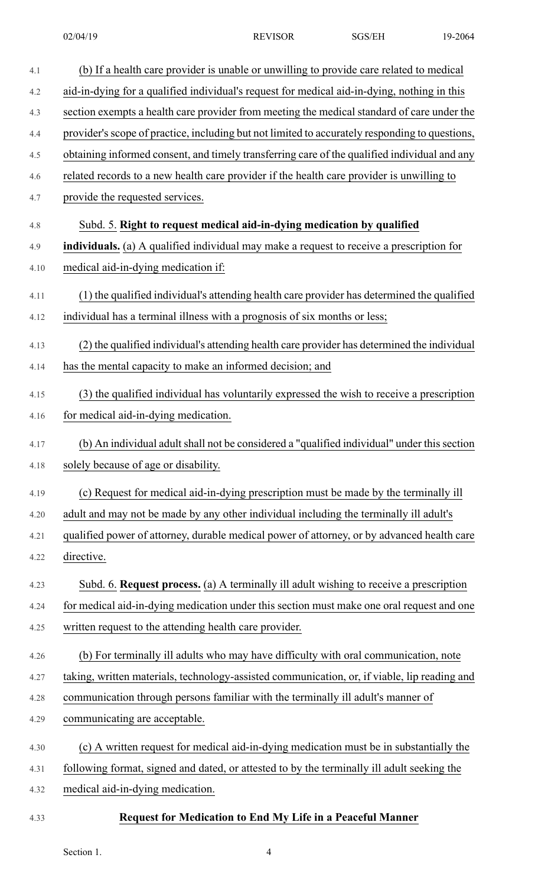| 4.1  | (b) If a health care provider is unable or unwilling to provide care related to medical        |
|------|------------------------------------------------------------------------------------------------|
| 4.2  | aid-in-dying for a qualified individual's request for medical aid-in-dying, nothing in this    |
| 4.3  | section exempts a health care provider from meeting the medical standard of care under the     |
| 4.4  | provider's scope of practice, including but not limited to accurately responding to questions, |
| 4.5  | obtaining informed consent, and timely transferring care of the qualified individual and any   |
| 4.6  | related records to a new health care provider if the health care provider is unwilling to      |
| 4.7  | provide the requested services.                                                                |
| 4.8  | Subd. 5. Right to request medical aid-in-dying medication by qualified                         |
| 4.9  | individuals. (a) A qualified individual may make a request to receive a prescription for       |
| 4.10 | medical aid-in-dying medication if:                                                            |
| 4.11 | (1) the qualified individual's attending health care provider has determined the qualified     |
| 4.12 | individual has a terminal illness with a prognosis of six months or less;                      |
| 4.13 | (2) the qualified individual's attending health care provider has determined the individual    |
| 4.14 | has the mental capacity to make an informed decision; and                                      |
| 4.15 | (3) the qualified individual has voluntarily expressed the wish to receive a prescription      |
| 4.16 | for medical aid-in-dying medication.                                                           |
| 4.17 | (b) An individual adult shall not be considered a "qualified individual" under this section    |
| 4.18 | solely because of age or disability.                                                           |
| 4.19 | (c) Request for medical aid-in-dying prescription must be made by the terminally ill           |
| 4.20 | adult and may not be made by any other individual including the terminally ill adult's         |
| 4.21 | qualified power of attorney, durable medical power of attorney, or by advanced health care     |
| 4.22 | directive.                                                                                     |
| 4.23 | Subd. 6. Request process. (a) A terminally ill adult wishing to receive a prescription         |
| 4.24 | for medical aid-in-dying medication under this section must make one oral request and one      |
| 4.25 | written request to the attending health care provider.                                         |
| 4.26 | (b) For terminally ill adults who may have difficulty with oral communication, note            |
| 4.27 | taking, written materials, technology-assisted communication, or, if viable, lip reading and   |
| 4.28 | communication through persons familiar with the terminally ill adult's manner of               |
| 4.29 | communicating are acceptable.                                                                  |
| 4.30 | (c) A written request for medical aid-in-dying medication must be in substantially the         |
| 4.31 | following format, signed and dated, or attested to by the terminally ill adult seeking the     |
| 4.32 | medical aid-in-dying medication.                                                               |
|      |                                                                                                |

## 4.33 **Request for Medication to End My Life in a Peaceful Manner**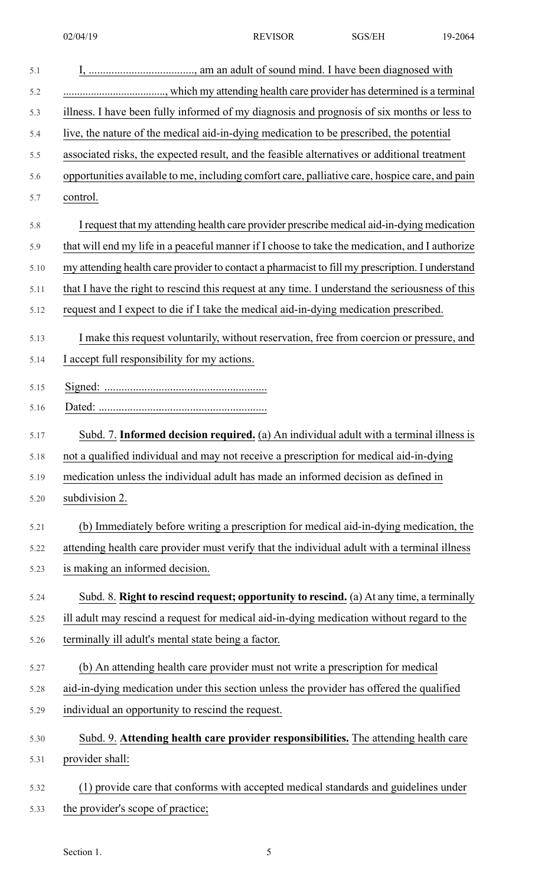| 5.1  |                                                                                                 |
|------|-------------------------------------------------------------------------------------------------|
| 5.2  |                                                                                                 |
| 5.3  | illness. I have been fully informed of my diagnosis and prognosis of six months or less to      |
| 5.4  | live, the nature of the medical aid-in-dying medication to be prescribed, the potential         |
| 5.5  | associated risks, the expected result, and the feasible alternatives or additional treatment    |
| 5.6  | opportunities available to me, including comfort care, palliative care, hospice care, and pain  |
| 5.7  | control.                                                                                        |
| 5.8  | I request that my attending health care provider prescribe medical aid-in-dying medication      |
| 5.9  | that will end my life in a peaceful manner if I choose to take the medication, and I authorize  |
| 5.10 | my attending health care provider to contact a pharmacist to fill my prescription. I understand |
| 5.11 | that I have the right to rescind this request at any time. I understand the seriousness of this |
| 5.12 | request and I expect to die if I take the medical aid-in-dying medication prescribed.           |
| 5.13 | I make this request voluntarily, without reservation, free from coercion or pressure, and       |
| 5.14 | I accept full responsibility for my actions.                                                    |
| 5.15 |                                                                                                 |
| 5.16 |                                                                                                 |
| 5.17 | Subd. 7. Informed decision required. (a) An individual adult with a terminal illness is         |
| 5.18 | not a qualified individual and may not receive a prescription for medical aid-in-dying          |
| 5.19 | medication unless the individual adult has made an informed decision as defined in              |
| 5.20 | subdivision 2.                                                                                  |
| 5.21 | (b) Immediately before writing a prescription for medical aid-in-dying medication, the          |
| 5.22 | attending health care provider must verify that the individual adult with a terminal illness    |
| 5.23 | is making an informed decision.                                                                 |
| 5.24 | Subd. 8. Right to rescind request; opportunity to rescind. (a) At any time, a terminally        |
| 5.25 | ill adult may rescind a request for medical aid-in-dying medication without regard to the       |
| 5.26 | terminally ill adult's mental state being a factor.                                             |
| 5.27 | (b) An attending health care provider must not write a prescription for medical                 |
| 5.28 | aid-in-dying medication under this section unless the provider has offered the qualified        |
| 5.29 | individual an opportunity to rescind the request.                                               |
| 5.30 | Subd. 9. Attending health care provider responsibilities. The attending health care             |
| 5.31 | provider shall:                                                                                 |
| 5.32 | (1) provide care that conforms with accepted medical standards and guidelines under             |

5.33 the provider's scope of practice;

Section 1. 5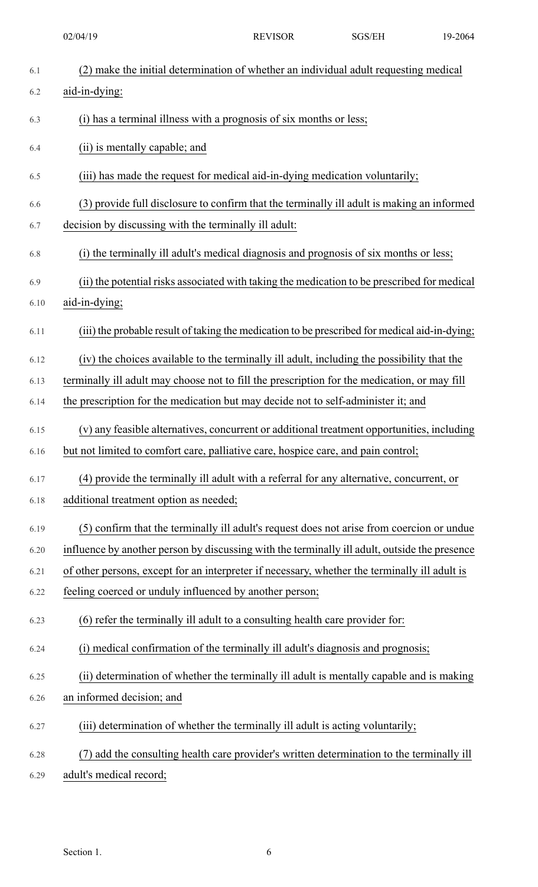02/04/19 REVISOR SGS/EH 19-2064

| 6.1  | (2) make the initial determination of whether an individual adult requesting medical          |
|------|-----------------------------------------------------------------------------------------------|
| 6.2  | aid-in-dying:                                                                                 |
| 6.3  | (i) has a terminal illness with a prognosis of six months or less;                            |
| 6.4  | (ii) is mentally capable; and                                                                 |
| 6.5  | (iii) has made the request for medical aid-in-dying medication voluntarily;                   |
| 6.6  | (3) provide full disclosure to confirm that the terminally ill adult is making an informed    |
| 6.7  | decision by discussing with the terminally ill adult:                                         |
| 6.8  | (i) the terminally ill adult's medical diagnosis and prognosis of six months or less;         |
| 6.9  | (ii) the potential risks associated with taking the medication to be prescribed for medical   |
| 6.10 | aid-in-dying;                                                                                 |
| 6.11 | (iii) the probable result of taking the medication to be prescribed for medical aid-in-dying; |
| 6.12 | (iv) the choices available to the terminally ill adult, including the possibility that the    |
| 6.13 | terminally ill adult may choose not to fill the prescription for the medication, or may fill  |
| 6.14 | the prescription for the medication but may decide not to self-administer it; and             |
| 6.15 | (v) any feasible alternatives, concurrent or additional treatment opportunities, including    |
| 6.16 | but not limited to comfort care, palliative care, hospice care, and pain control;             |
| 6.17 | (4) provide the terminally ill adult with a referral for any alternative, concurrent, or      |
| 6.18 | additional treatment option as needed;                                                        |
| 6.19 | (5) confirm that the terminally ill adult's request does not arise from coercion or undue     |
| 6.20 | influence by another person by discussing with the terminally ill adult, outside the presence |
| 6.21 | of other persons, except for an interpreter if necessary, whether the terminally ill adult is |
| 6.22 | feeling coerced or unduly influenced by another person;                                       |
| 6.23 | (6) refer the terminally ill adult to a consulting health care provider for:                  |
| 6.24 | (i) medical confirmation of the terminally ill adult's diagnosis and prognosis;               |
| 6.25 | (ii) determination of whether the terminally ill adult is mentally capable and is making      |
| 6.26 | an informed decision; and                                                                     |
| 6.27 | (iii) determination of whether the terminally ill adult is acting voluntarily;                |
| 6.28 | (7) add the consulting health care provider's written determination to the terminally ill     |
| 6.29 | adult's medical record;                                                                       |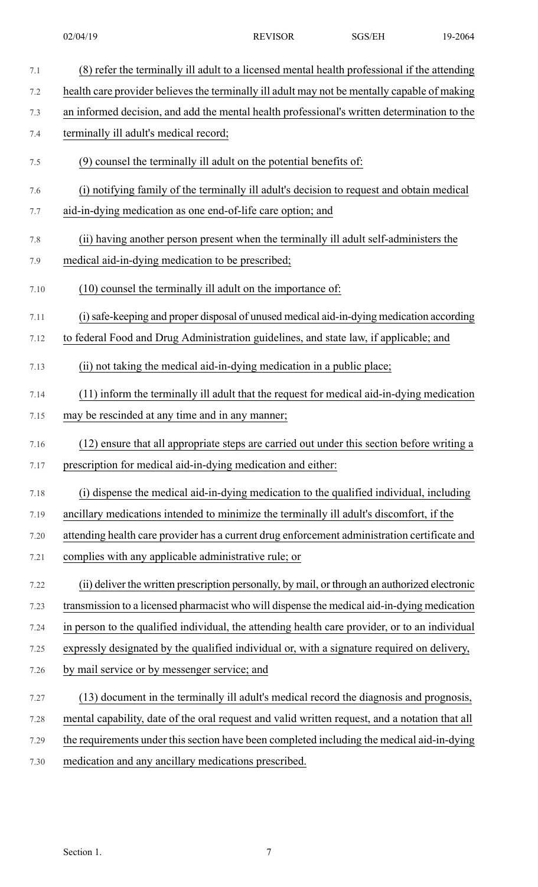| (8) refer the terminally ill adult to a licensed mental health professional if the attending   |
|------------------------------------------------------------------------------------------------|
| health care provider believes the terminally ill adult may not be mentally capable of making   |
| an informed decision, and add the mental health professional's written determination to the    |
| terminally ill adult's medical record;                                                         |
| (9) counsel the terminally ill adult on the potential benefits of:                             |
| (i) notifying family of the terminally ill adult's decision to request and obtain medical      |
| aid-in-dying medication as one end-of-life care option; and                                    |
| (ii) having another person present when the terminally ill adult self-administers the          |
| medical aid-in-dying medication to be prescribed;                                              |
| $(10)$ counsel the terminally ill adult on the importance of:                                  |
| (i) safe-keeping and proper disposal of unused medical aid-in-dying medication according       |
| to federal Food and Drug Administration guidelines, and state law, if applicable; and          |
| (ii) not taking the medical aid-in-dying medication in a public place;                         |
| (11) inform the terminally ill adult that the request for medical aid-in-dying medication      |
| may be rescinded at any time and in any manner;                                                |
| (12) ensure that all appropriate steps are carried out under this section before writing a     |
| prescription for medical aid-in-dying medication and either:                                   |
| (i) dispense the medical aid-in-dying medication to the qualified individual, including        |
| ancillary medications intended to minimize the terminally ill adult's discomfort, if the       |
| attending health care provider has a current drug enforcement administration certificate and   |
| complies with any applicable administrative rule; or                                           |
| (ii) deliver the written prescription personally, by mail, or through an authorized electronic |
| transmission to a licensed pharmacist who will dispense the medical aid-in-dying medication    |
| in person to the qualified individual, the attending health care provider, or to an individual |
| expressly designated by the qualified individual or, with a signature required on delivery,    |
| by mail service or by messenger service; and                                                   |
| (13) document in the terminally ill adult's medical record the diagnosis and prognosis,        |
| mental capability, date of the oral request and valid written request, and a notation that all |
| the requirements under this section have been completed including the medical aid-in-dying     |
| medication and any ancillary medications prescribed.                                           |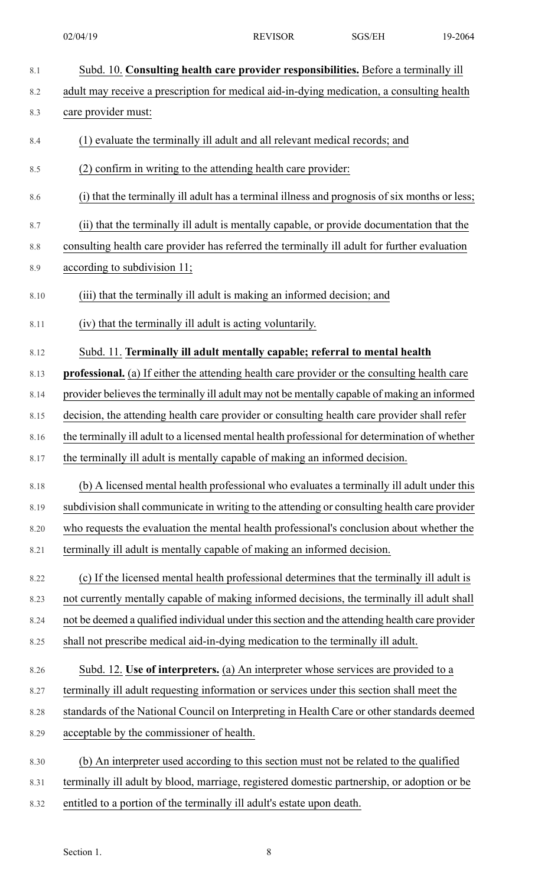| 8.1     | Subd. 10. Consulting health care provider responsibilities. Before a terminally ill                 |
|---------|-----------------------------------------------------------------------------------------------------|
| 8.2     | adult may receive a prescription for medical aid-in-dying medication, a consulting health           |
| 8.3     | care provider must:                                                                                 |
| 8.4     | (1) evaluate the terminally ill adult and all relevant medical records; and                         |
| 8.5     | (2) confirm in writing to the attending health care provider:                                       |
| 8.6     | (i) that the terminally ill adult has a terminal illness and prognosis of six months or less;       |
| 8.7     | (ii) that the terminally ill adult is mentally capable, or provide documentation that the           |
| $8.8\,$ | consulting health care provider has referred the terminally ill adult for further evaluation        |
| 8.9     | according to subdivision 11;                                                                        |
| 8.10    | (iii) that the terminally ill adult is making an informed decision; and                             |
| 8.11    | (iv) that the terminally ill adult is acting voluntarily.                                           |
| 8.12    | Subd. 11. Terminally ill adult mentally capable; referral to mental health                          |
| 8.13    | <b>professional.</b> (a) If either the attending health care provider or the consulting health care |
| 8.14    | provider believes the terminally ill adult may not be mentally capable of making an informed        |
| 8.15    | decision, the attending health care provider or consulting health care provider shall refer         |
| 8.16    | the terminally ill adult to a licensed mental health professional for determination of whether      |
| 8.17    | the terminally ill adult is mentally capable of making an informed decision                         |
| 8.18    | (b) A licensed mental health professional who evaluates a terminally ill adult under this           |
| 8.19    | subdivision shall communicate in writing to the attending or consulting health care provider        |
| 8.20    | who requests the evaluation the mental health professional's conclusion about whether the           |
| 8.21    | terminally ill adult is mentally capable of making an informed decision.                            |
| 8.22    | (c) If the licensed mental health professional determines that the terminally ill adult is          |
| 8.23    | not currently mentally capable of making informed decisions, the terminally ill adult shall         |
| 8.24    | not be deemed a qualified individual under this section and the attending health care provider      |
| 8.25    | shall not prescribe medical aid-in-dying medication to the terminally ill adult.                    |
| 8.26    | Subd. 12. Use of interpreters. (a) An interpreter whose services are provided to a                  |
| 8.27    | terminally ill adult requesting information or services under this section shall meet the           |
| 8.28    | standards of the National Council on Interpreting in Health Care or other standards deemed          |
| 8.29    | acceptable by the commissioner of health.                                                           |
| 8.30    | (b) An interpreter used according to this section must not be related to the qualified              |
| 8.31    | terminally ill adult by blood, marriage, registered domestic partnership, or adoption or be         |
| 8.32    | entitled to a portion of the terminally ill adult's estate upon death.                              |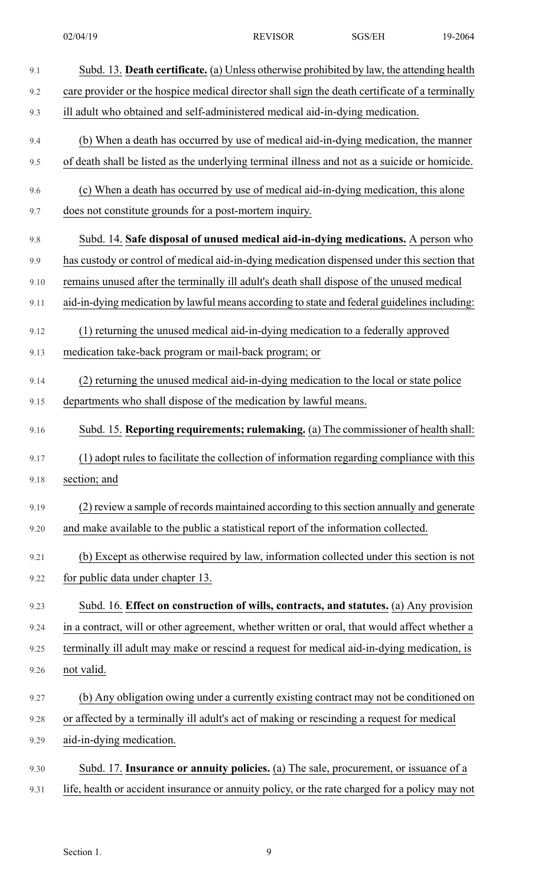| 9.1  | Subd. 13. Death certificate. (a) Unless otherwise prohibited by law, the attending health      |
|------|------------------------------------------------------------------------------------------------|
| 9.2  | care provider or the hospice medical director shall sign the death certificate of a terminally |
| 9.3  | ill adult who obtained and self-administered medical aid-in-dying medication.                  |
| 9.4  | (b) When a death has occurred by use of medical aid-in-dying medication, the manner            |
| 9.5  | of death shall be listed as the underlying terminal illness and not as a suicide or homicide.  |
| 9.6  | (c) When a death has occurred by use of medical aid-in-dying medication, this alone            |
| 9.7  | does not constitute grounds for a post-mortem inquiry.                                         |
| 9.8  | Subd. 14. Safe disposal of unused medical aid-in-dying medications. A person who               |
| 9.9  | has custody or control of medical aid-in-dying medication dispensed under this section that    |
| 9.10 | remains unused after the terminally ill adult's death shall dispose of the unused medical      |
| 9.11 | aid-in-dying medication by lawful means according to state and federal guidelines including:   |
| 9.12 | (1) returning the unused medical aid-in-dying medication to a federally approved               |
| 9.13 | medication take-back program or mail-back program; or                                          |
| 9.14 | (2) returning the unused medical aid-in-dying medication to the local or state police          |
| 9.15 | departments who shall dispose of the medication by lawful means.                               |
| 9.16 | Subd. 15. Reporting requirements; rulemaking. (a) The commissioner of health shall:            |
| 9.17 | (1) adopt rules to facilitate the collection of information regarding compliance with this     |
| 9.18 | section; and                                                                                   |
| 9.19 | (2) review a sample of records maintained according to this section annually and generate      |
| 9.20 | and make available to the public a statistical report of the information collected.            |
| 9.21 | (b) Except as otherwise required by law, information collected under this section is not       |
| 9.22 | for public data under chapter 13.                                                              |
| 9.23 | Subd. 16. Effect on construction of wills, contracts, and statutes. (a) Any provision          |
| 9.24 | in a contract, will or other agreement, whether written or oral, that would affect whether a   |
| 9.25 | terminally ill adult may make or rescind a request for medical aid-in-dying medication, is     |
| 9.26 | not valid.                                                                                     |
| 9.27 | (b) Any obligation owing under a currently existing contract may not be conditioned on         |
| 9.28 | or affected by a terminally ill adult's act of making or rescinding a request for medical      |
| 9.29 | aid-in-dying medication.                                                                       |
| 9.30 | Subd. 17. Insurance or annuity policies. (a) The sale, procurement, or issuance of a           |
| 9.31 | life, health or accident insurance or annuity policy, or the rate charged for a policy may not |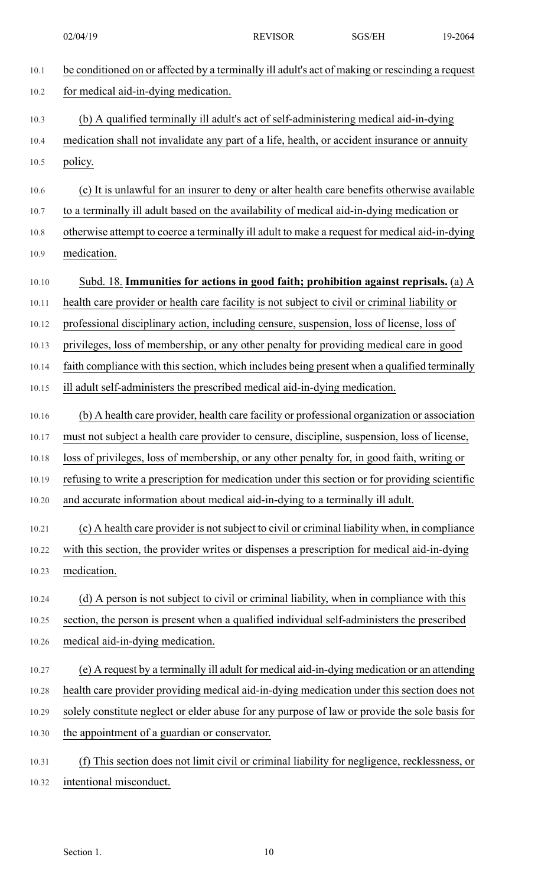02/04/19 REVISOR SGS/EH 19-2064

| 10.1  | be conditioned on or affected by a terminally ill adult's act of making or rescinding a request |
|-------|-------------------------------------------------------------------------------------------------|
| 10.2  | for medical aid-in-dying medication.                                                            |
| 10.3  | (b) A qualified terminally ill adult's act of self-administering medical aid-in-dying           |
| 10.4  | medication shall not invalidate any part of a life, health, or accident insurance or annuity    |
| 10.5  | policy.                                                                                         |
| 10.6  | (c) It is unlawful for an insurer to deny or alter health care benefits otherwise available     |
| 10.7  | to a terminally ill adult based on the availability of medical aid-in-dying medication or       |
| 10.8  | otherwise attempt to coerce a terminally ill adult to make a request for medical aid-in-dying   |
| 10.9  | medication.                                                                                     |
| 10.10 | Subd. 18. Immunities for actions in good faith; prohibition against reprisals. (a) A            |
| 10.11 | health care provider or health care facility is not subject to civil or criminal liability or   |
| 10.12 | professional disciplinary action, including censure, suspension, loss of license, loss of       |
| 10.13 | privileges, loss of membership, or any other penalty for providing medical care in good         |
| 10.14 | faith compliance with this section, which includes being present when a qualified terminally    |
| 10.15 | ill adult self-administers the prescribed medical aid-in-dying medication.                      |
| 10.16 | (b) A health care provider, health care facility or professional organization or association    |
| 10.17 | must not subject a health care provider to censure, discipline, suspension, loss of license,    |
| 10.18 | loss of privileges, loss of membership, or any other penalty for, in good faith, writing or     |
| 10.19 | refusing to write a prescription for medication under this section or for providing scientific  |
| 10.20 | and accurate information about medical aid-in-dying to a terminally ill adult.                  |
| 10.21 | (c) A health care provider is not subject to civil or criminal liability when, in compliance    |
| 10.22 | with this section, the provider writes or dispenses a prescription for medical aid-in-dying     |
| 10.23 | medication.                                                                                     |
| 10.24 | (d) A person is not subject to civil or criminal liability, when in compliance with this        |
| 10.25 | section, the person is present when a qualified individual self-administers the prescribed      |
| 10.26 | medical aid-in-dying medication.                                                                |
| 10.27 | (e) A request by a terminally ill adult for medical aid-in-dying medication or an attending     |
| 10.28 | health care provider providing medical aid-in-dying medication under this section does not      |
| 10.29 | solely constitute neglect or elder abuse for any purpose of law or provide the sole basis for   |
| 10.30 | the appointment of a guardian or conservator.                                                   |
| 10.31 | This section does not limit civil or criminal liability for negligence, recklessness, or<br>(f) |
|       |                                                                                                 |

10.32 intentional misconduct.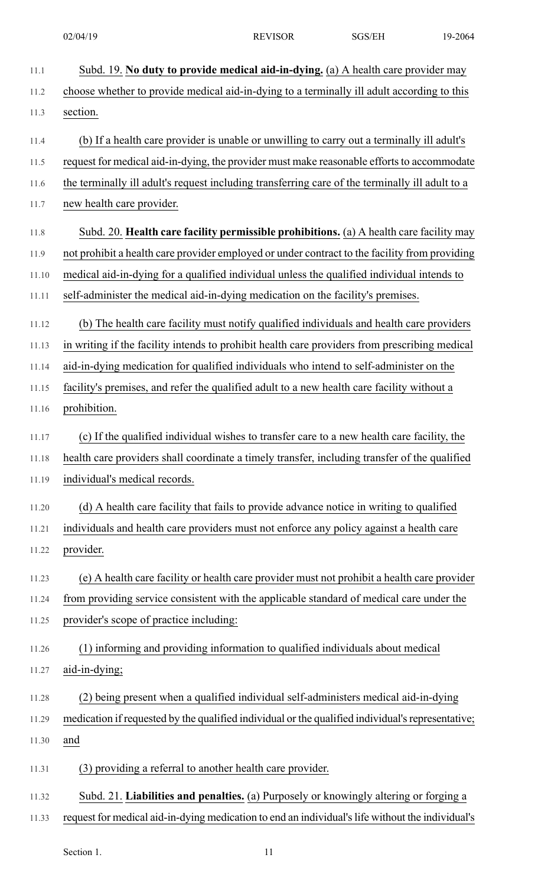| 11.1  | Subd. 19. No duty to provide medical aid-in-dying. (a) A health care provider may                 |
|-------|---------------------------------------------------------------------------------------------------|
| 11.2  | choose whether to provide medical aid-in-dying to a terminally ill adult according to this        |
| 11.3  | section.                                                                                          |
| 11.4  | (b) If a health care provider is unable or unwilling to carry out a terminally ill adult's        |
| 11.5  | request for medical aid-in-dying, the provider must make reasonable efforts to accommodate        |
| 11.6  | the terminally ill adult's request including transferring care of the terminally ill adult to a   |
| 11.7  | new health care provider.                                                                         |
| 11.8  | Subd. 20. Health care facility permissible prohibitions. (a) A health care facility may           |
| 11.9  | not prohibit a health care provider employed or under contract to the facility from providing     |
| 11.10 | medical aid-in-dying for a qualified individual unless the qualified individual intends to        |
| 11.11 | self-administer the medical aid-in-dying medication on the facility's premises.                   |
| 11.12 | (b) The health care facility must notify qualified individuals and health care providers          |
| 11.13 | in writing if the facility intends to prohibit health care providers from prescribing medical     |
| 11.14 | aid-in-dying medication for qualified individuals who intend to self-administer on the            |
| 11.15 | facility's premises, and refer the qualified adult to a new health care facility without a        |
| 11.16 | prohibition.                                                                                      |
| 11.17 | (c) If the qualified individual wishes to transfer care to a new health care facility, the        |
| 11.18 | health care providers shall coordinate a timely transfer, including transfer of the qualified     |
| 11.19 | individual's medical records.                                                                     |
| 11.20 | (d) A health care facility that fails to provide advance notice in writing to qualified           |
| 11.21 | individuals and health care providers must not enforce any policy against a health care           |
| 11.22 | provider.                                                                                         |
| 11.23 | (e) A health care facility or health care provider must not prohibit a health care provider       |
| 11.24 | from providing service consistent with the applicable standard of medical care under the          |
| 11.25 | provider's scope of practice including:                                                           |
| 11.26 | (1) informing and providing information to qualified individuals about medical                    |
| 11.27 | aid-in-dying;                                                                                     |
| 11.28 | (2) being present when a qualified individual self-administers medical aid-in-dying               |
| 11.29 | medication if requested by the qualified individual or the qualified individual's representative; |
| 11.30 | and                                                                                               |
| 11.31 | (3) providing a referral to another health care provider.                                         |
| 11.32 | Subd. 21. Liabilities and penalties. (a) Purposely or knowingly altering or forging a             |

11.33 request for medical aid-in-dying medication to end an individual'slife without the individual's